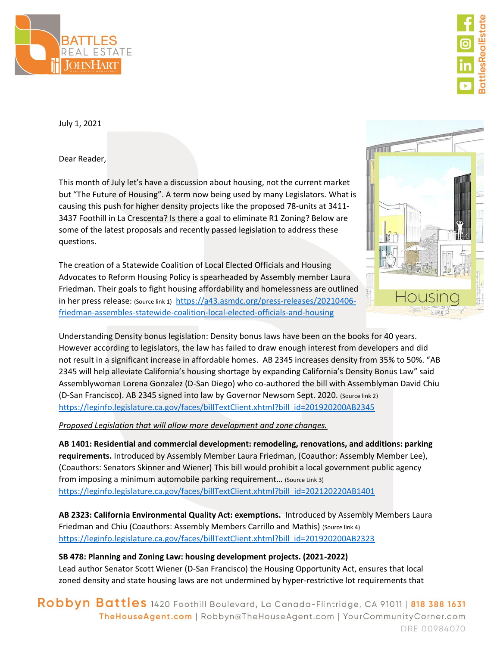



July 1, 2021

Dear Reader,

This month of July let's have a discussion about housing, not the current market but "The Future of Housing". A term now being used by many Legislators. What is causing this push for higher density projects like the proposed 78-units at 3411- 3437 Foothill in La Crescenta? Is there a goal to eliminate R1 Zoning? Below are some of the latest proposals and recently passed legislation to address these questions.

The creation of a Statewide Coalition of Local Elected Officials and Housing Advocates to Reform Housing Policy is spearheaded by Assembly member Laura Friedman. Their goals to fight housing affordability and homelessness are outlined in her press release: (Source link 1) [https://a43.asmdc.org/press-releases/20210406](https://a43.asmdc.org/press-releases/20210406-friedman-assembles-statewide-coalition-local-elected-officials-and-housing) [friedman-assembles-statewide-coalition-local-elected-officials-and-housing](https://a43.asmdc.org/press-releases/20210406-friedman-assembles-statewide-coalition-local-elected-officials-and-housing)

Understanding Density bonus legislation: Density bonus laws have been on the books for 40 years. However according to legislators, the law has failed to draw enough interest from developers and did not result in a significant increase in affordable homes. AB 2345 increases density from 35% to 50%. "AB 2345 will help alleviate California's housing shortage by expanding California's Density Bonus Law" said Assemblywoman Lorena Gonzalez (D-San Diego) who co-authored the bill with Assemblyman David Chiu (D-San Francisco). AB 2345 signed into law by Governor Newsom Sept. 2020. (Source link 2) [https://leginfo.legislature.ca.gov/faces/billTextClient.xhtml?bill\\_id=201920200AB2345](https://leginfo.legislature.ca.gov/faces/billTextClient.xhtml?bill_id=201920200AB2345)

*Proposed Legislation that will allow more development and zone changes.* 

**AB 1401: Residential and commercial development: remodeling, renovations, and additions: parking requirements.** Introduced by Assembly Member Laura Friedman, (Coauthor: Assembly Member Lee), (Coauthors: Senators Skinner and Wiener) This bill would prohibit a local government public agency from imposing a minimum automobile parking requirement... (Source Link 3) [https://leginfo.legislature.ca.gov/faces/billTextClient.xhtml?bill\\_id=202120220AB1401](https://leginfo.legislature.ca.gov/faces/billTextClient.xhtml?bill_id=202120220AB1401)

**AB 2323: California Environmental Quality Act: exemptions.** Introduced by Assembly Members Laura Friedman and Chiu (Coauthors: Assembly Members Carrillo and Mathis) (Source link 4) [https://leginfo.legislature.ca.gov/faces/billTextClient.xhtml?bill\\_id=201920200AB2323](https://leginfo.legislature.ca.gov/faces/billTextClient.xhtml?bill_id=201920200AB2323)

**SB 478: Planning and Zoning Law: housing development projects. (2021-2022)**

Lead author Senator Scott Wiener (D-San Francisco) the Housing Opportunity Act, ensures that local zoned density and state housing laws are not undermined by hyper-restrictive lot requirements that

Robbyn Battles 1420 Foothill Boulevard, La Canada-Flintridge, CA 91011 | 818 388 1631 The House Agent.com | Robbyn@The House Agent.com | Your Community Corner.com DRE 00984070